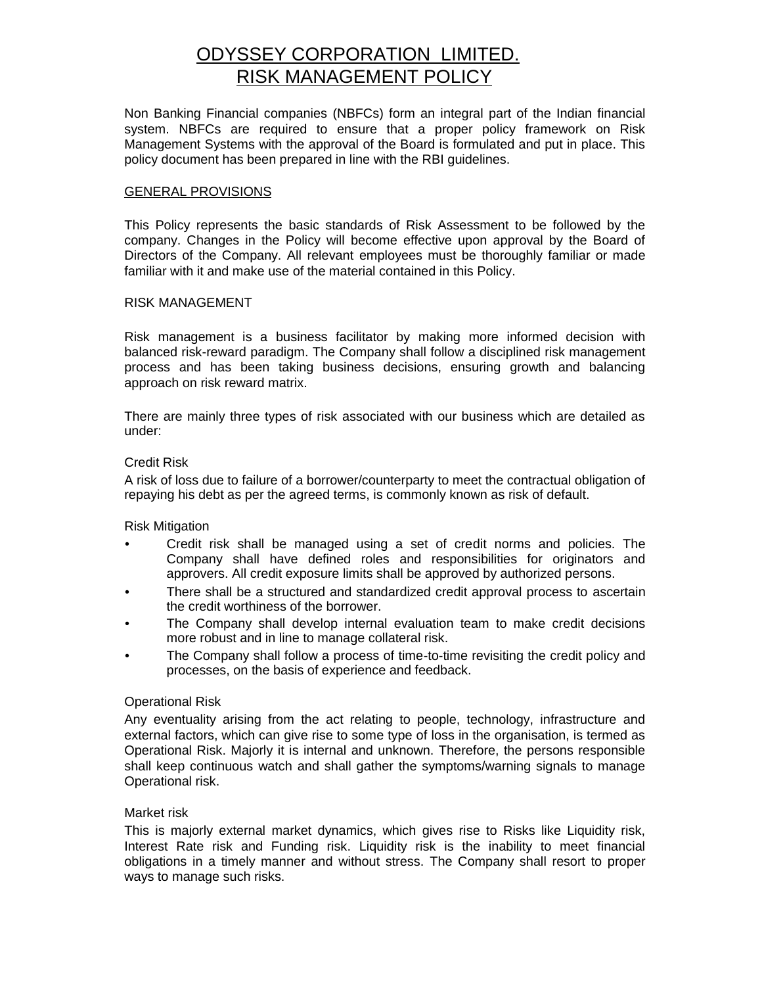# ODYSSEY CORPORATION LIMITED. RISK MANAGEMENT POLICY

Non Banking Financial companies (NBFCs) form an integral part of the Indian financial system. NBFCs are required to ensure that a proper policy framework on Risk Management Systems with the approval of the Board is formulated and put in place. This policy document has been prepared in line with the RBI guidelines.

### GENERAL PROVISIONS

This Policy represents the basic standards of Risk Assessment to be followed by the company. Changes in the Policy will become effective upon approval by the Board of Directors of the Company. All relevant employees must be thoroughly familiar or made familiar with it and make use of the material contained in this Policy.

### RISK MANAGEMENT

Risk management is a business facilitator by making more informed decision with balanced risk-reward paradigm. The Company shall follow a disciplined risk management process and has been taking business decisions, ensuring growth and balancing approach on risk reward matrix.

There are mainly three types of risk associated with our business which are detailed as under:

### Credit Risk

A risk of loss due to failure of a borrower/counterparty to meet the contractual obligation of repaying his debt as per the agreed terms, is commonly known as risk of default.

Risk Mitigation

- Credit risk shall be managed using a set of credit norms and policies. The Company shall have defined roles and responsibilities for originators and approvers. All credit exposure limits shall be approved by authorized persons.
- There shall be a structured and standardized credit approval process to ascertain the credit worthiness of the borrower.
- The Company shall develop internal evaluation team to make credit decisions more robust and in line to manage collateral risk.
- The Company shall follow a process of time-to-time revisiting the credit policy and processes, on the basis of experience and feedback.

#### Operational Risk

Any eventuality arising from the act relating to people, technology, infrastructure and external factors, which can give rise to some type of loss in the organisation, is termed as Operational Risk. Majorly it is internal and unknown. Therefore, the persons responsible shall keep continuous watch and shall gather the symptoms/warning signals to manage Operational risk.

#### Market risk

This is majorly external market dynamics, which gives rise to Risks like Liquidity risk, Interest Rate risk and Funding risk. Liquidity risk is the inability to meet financial obligations in a timely manner and without stress. The Company shall resort to proper ways to manage such risks.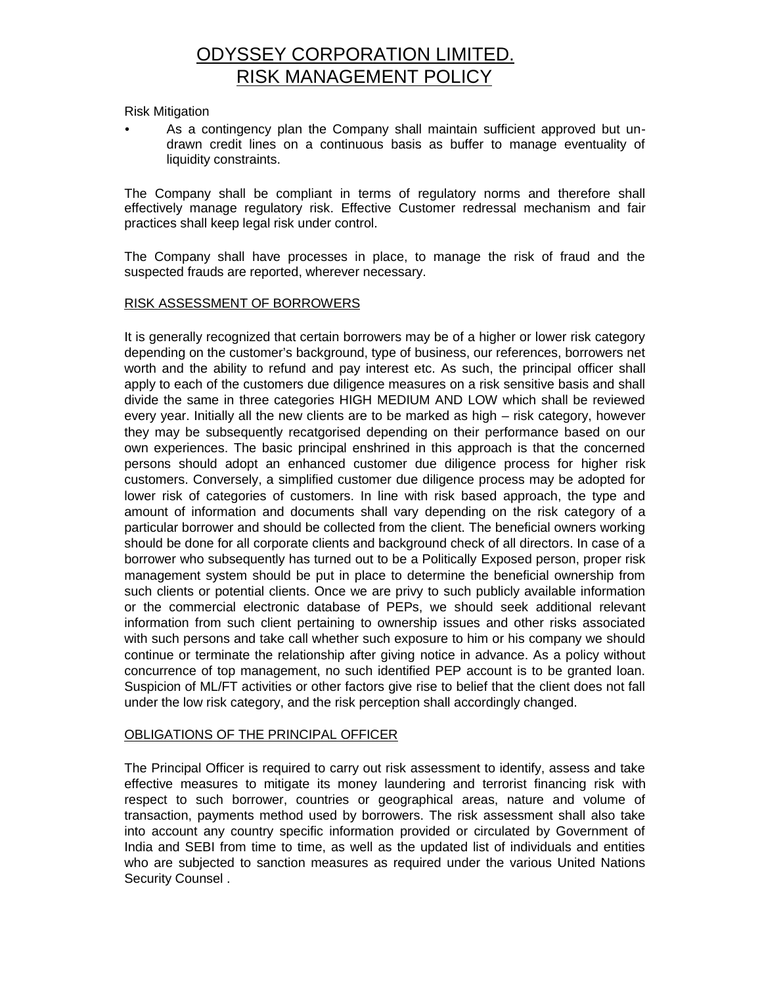# ODYSSEY CORPORATION LIMITED. RISK MANAGEMENT POLICY

Risk Mitigation

• As a contingency plan the Company shall maintain sufficient approved but un drawn credit lines on a continuous basis as buffer to manage eventuality of liquidity constraints.

The Company shall be compliant in terms of regulatory norms and therefore shall effectively manage regulatory risk. Effective Customer redressal mechanism and fair practices shall keep legal risk under control.

The Company shall have processes in place, to manage the risk of fraud and the suspected frauds are reported, wherever necessary.

## RISK ASSESSMENT OF BORROWERS

It is generally recognized that certain borrowers may be of a higher or lower risk category depending on the customer's background, type of business, our references, borrowers net worth and the ability to refund and pay interest etc. As such, the principal officer shall apply to each of the customers due diligence measures on a risk sensitive basis and shall divide the same in three categories HIGH MEDIUM AND LOW which shall be reviewed every year. Initially all the new clients are to be marked as high – risk category, however they may be subsequently recatgorised depending on their performance based on our own experiences. The basic principal enshrined in this approach is that the concerned persons should adopt an enhanced customer due diligence process for higher risk customers. Conversely, a simplified customer due diligence process may be adopted for lower risk of categories of customers. In line with risk based approach, the type and amount of information and documents shall vary depending on the risk category of a particular borrower and should be collected from the client. The beneficial owners working should be done for all corporate clients and background check of all directors. In case of a borrower who subsequently has turned out to be a Politically Exposed person, proper risk management system should be put in place to determine the beneficial ownership from such clients or potential clients. Once we are privy to such publicly available information or the commercial electronic database of PEPs, we should seek additional relevant information from such client pertaining to ownership issues and other risks associated with such persons and take call whether such exposure to him or his company we should continue or terminate the relationship after giving notice in advance. As a policy without concurrence of top management, no such identified PEP account is to be granted loan. Suspicion of ML/FT activities or other factors give rise to belief that the client does not fall under the low risk category, and the risk perception shall accordingly changed.

## OBLIGATIONS OF THE PRINCIPAL OFFICER

The Principal Officer is required to carry out risk assessment to identify, assess and take effective measures to mitigate its money laundering and terrorist financing risk with respect to such borrower, countries or geographical areas, nature and volume of transaction, payments method used by borrowers. The risk assessment shall also take into account any country specific information provided or circulated by Government of India and SEBI from time to time, as well as the updated list of individuals and entities who are subjected to sanction measures as required under the various United Nations Security Counsel .